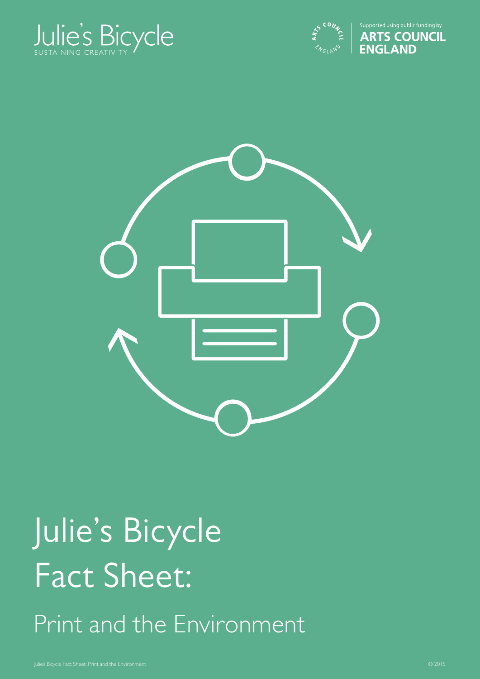





# Julie's Bicycle Fact Sheet: Print and the Environment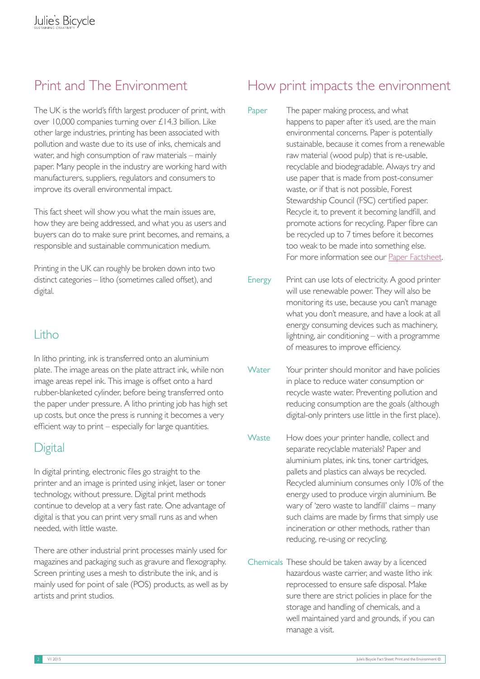The UK is the world's fifth largest producer of print, with over 10,000 companies turning over £14.3 billion. Like other large industries, printing has been associated with pollution and waste due to its use of inks, chemicals and water, and high consumption of raw materials – mainly paper. Many people in the industry are working hard with manufacturers, suppliers, regulators and consumers to improve its overall environmental impact.

This fact sheet will show you what the main issues are, how they are being addressed, and what you as users and buyers can do to make sure print becomes, and remains, a responsible and sustainable communication medium.

Printing in the UK can roughly be broken down into two distinct categories – litho (sometimes called offset), and digital.

#### Litho

In litho printing, ink is transferred onto an aluminium plate. The image areas on the plate attract ink, while non image areas repel ink. This image is offset onto a hard rubber-blanketed cylinder, before being transferred onto the paper under pressure. A litho printing job has high set up costs, but once the press is running it becomes a very efficient way to print – especially for large quantities.

#### **Digital**

In digital printing, electronic files go straight to the printer and an image is printed using inkjet, laser or toner technology, without pressure. Digital print methods continue to develop at a very fast rate. One advantage of digital is that you can print very small runs as and when needed, with little waste.

There are other industrial print processes mainly used for magazines and packaging such as gravure and flexography. Screen printing uses a mesh to distribute the ink, and is mainly used for point of sale (POS) products, as well as by artists and print studios.

### Print and The Environment How print impacts the environment

- Paper The paper making process, and what happens to paper after it's used, are the main environmental concerns. Paper is potentially sustainable, because it comes from a renewable raw material (wood pulp) that is re-usable, recyclable and biodegradable. Always try and use paper that is made from post-consumer waste, or if that is not possible, Forest Stewardship Council (FSC) certified paper. Recycle it, to prevent it becoming landfill, and promote actions for recycling. Paper fibre can be recycled up to 7 times before it becomes too weak to be made into something else. For more information see our [Paper Factsheet.](http://www.juliesbicycle.com/resources/paper-factsheet)
- Energy Print can use lots of electricity. A good printer will use renewable power. They will also be monitoring its use, because you can't manage what you don't measure, and have a look at all energy consuming devices such as machinery, lightning, air conditioning – with a programme of measures to improve efficiency.
- Water Your printer should monitor and have policies in place to reduce water consumption or recycle waste water. Preventing pollution and reducing consumption are the goals (although digital-only printers use little in the first place).
- Waste How does your printer handle, collect and separate recyclable materials? Paper and aluminium plates, ink tins, toner cartridges, pallets and plastics can always be recycled. Recycled aluminium consumes only 10% of the energy used to produce virgin aluminium. Be wary of 'zero waste to landfill' claims – many such claims are made by firms that simply use incineration or other methods, rather than reducing, re-using or recycling.
- Chemicals These should be taken away by a licenced hazardous waste carrier, and waste litho ink reprocessed to ensure safe disposal. Make sure there are strict policies in place for the storage and handling of chemicals, and a well maintained yard and grounds, if you can manage a visit.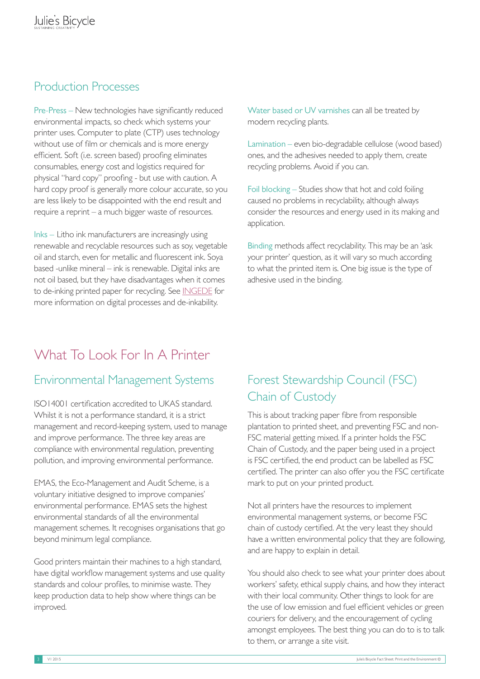#### Production Processes

Pre-Press – New technologies have significantly reduced environmental impacts, so check which systems your printer uses. Computer to plate (CTP) uses technology without use of film or chemicals and is more energy efficient. Soft (i.e. screen based) proofing eliminates consumables, energy cost and logistics required for physical "hard copy" proofing - but use with caution. A hard copy proof is generally more colour accurate, so you are less likely to be disappointed with the end result and require a reprint – a much bigger waste of resources.

Inks – Litho ink manufacturers are increasingly using renewable and recyclable resources such as soy, vegetable oil and starch, even for metallic and fluorescent ink. Soya based -unlike mineral – ink is renewable. Digital inks are not oil based, but they have disadvantages when it comes to de-inking printed paper for recycling. See [INGEDE](http://www.ingede.com/digital/digi-overview.html) for more information on digital processes and de-inkability.

Water based or UV varnishes can all be treated by modern recycling plants.

Lamination – even bio-degradable cellulose (wood based) ones, and the adhesives needed to apply them, create recycling problems. Avoid if you can.

Foil blocking – Studies show that hot and cold foiling caused no problems in recyclability, although always consider the resources and energy used in its making and application.

Binding methods affect recyclability. This may be an 'ask your printer' question, as it will vary so much according to what the printed item is. One big issue is the type of adhesive used in the binding.

### What To Look For In A Printer

#### Environmental Management Systems

ISO14001 certification accredited to UKAS standard. Whilst it is not a performance standard, it is a strict management and record-keeping system, used to manage and improve performance. The three key areas are compliance with environmental regulation, preventing pollution, and improving environmental performance.

EMAS, the Eco-Management and Audit Scheme, is a voluntary initiative designed to improve companies' environmental performance. EMAS sets the highest environmental standards of all the environmental management schemes. It recognises organisations that go beyond minimum legal compliance.

Good printers maintain their machines to a high standard, have digital workflow management systems and use quality standards and colour profiles, to minimise waste. They keep production data to help show where things can be improved.

#### Forest Stewardship Council (FSC) Chain of Custody

This is about tracking paper fibre from responsible plantation to printed sheet, and preventing FSC and non-FSC material getting mixed. If a printer holds the FSC Chain of Custody, and the paper being used in a project is FSC certified, the end product can be labelled as FSC certified. The printer can also offer you the FSC certificate mark to put on your printed product.

Not all printers have the resources to implement environmental management systems, or become FSC chain of custody certified. At the very least they should have a written environmental policy that they are following, and are happy to explain in detail.

You should also check to see what your printer does about workers' safety, ethical supply chains, and how they interact with their local community. Other things to look for are the use of low emission and fuel efficient vehicles or green couriers for delivery, and the encouragement of cycling amongst employees. The best thing you can do to is to talk to them, or arrange a site visit.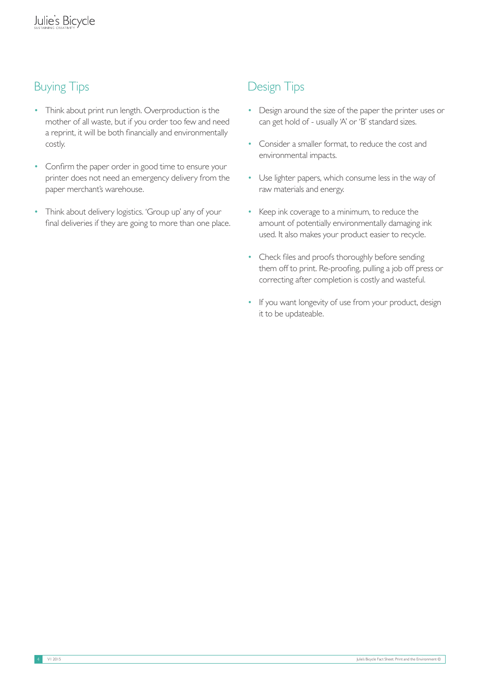## Buying Tips

- Think about print run length. Overproduction is the mother of all waste, but if you order too few and need a reprint, it will be both financially and environmentally costly.
- Confirm the paper order in good time to ensure your printer does not need an emergency delivery from the paper merchant's warehouse.
- Think about delivery logistics. 'Group up' any of your final deliveries if they are going to more than one place.

#### Design Tips

- Design around the size of the paper the printer uses or can get hold of - usually 'A' or 'B' standard sizes.
- Consider a smaller format, to reduce the cost and environmental impacts.
- Use lighter papers, which consume less in the way of raw materials and energy.
- Keep ink coverage to a minimum, to reduce the amount of potentially environmentally damaging ink used. It also makes your product easier to recycle.
- Check files and proofs thoroughly before sending them off to print. Re-proofing, pulling a job off press or correcting after completion is costly and wasteful.
- If you want longevity of use from your product, design it to be updateable.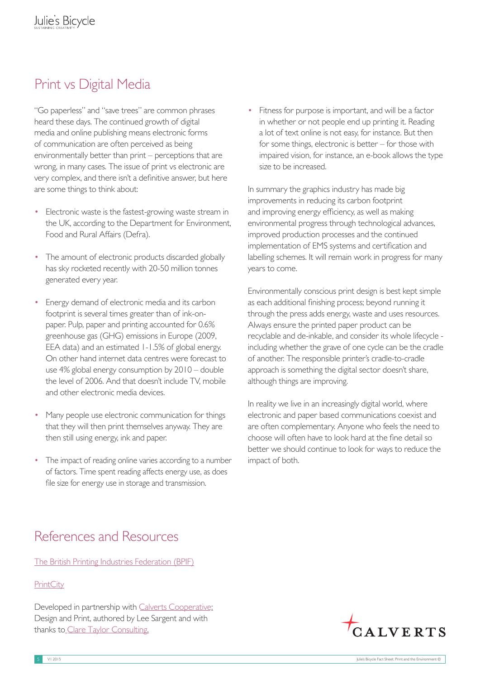# Print vs Digital Media

"Go paperless" and "save trees" are common phrases heard these days. The continued growth of digital media and online publishing means electronic forms of communication are often perceived as being environmentally better than print – perceptions that are wrong, in many cases. The issue of print vs electronic are very complex, and there isn't a definitive answer, but here are some things to think about:

- Electronic waste is the fastest-growing waste stream in the UK, according to the Department for Environment, Food and Rural Affairs (Defra).
- The amount of electronic products discarded globally has sky rocketed recently with 20-50 million tonnes generated every year.
- Energy demand of electronic media and its carbon footprint is several times greater than of ink-onpaper. Pulp, paper and printing accounted for 0.6% greenhouse gas (GHG) emissions in Europe (2009, EEA data) and an estimated 1-1.5% of global energy. On other hand internet data centres were forecast to use 4% global energy consumption by 2010 – double the level of 2006. And that doesn't include TV, mobile and other electronic media devices.
- Many people use electronic communication for things that they will then print themselves anyway. They are then still using energy, ink and paper.
- The impact of reading online varies according to a number of factors. Time spent reading affects energy use, as does file size for energy use in storage and transmission.

• Fitness for purpose is important, and will be a factor in whether or not people end up printing it. Reading a lot of text online is not easy, for instance. But then for some things, electronic is better – for those with impaired vision, for instance, an e-book allows the type size to be increased.

In summary the graphics industry has made big improvements in reducing its carbon footprint and improving energy efficiency, as well as making environmental progress through technological advances, improved production processes and the continued implementation of EMS systems and certification and labelling schemes. It will remain work in progress for many years to come.

Environmentally conscious print design is best kept simple as each additional finishing process; beyond running it through the press adds energy, waste and uses resources. Always ensure the printed paper product can be recyclable and de-inkable, and consider its whole lifecycle including whether the grave of one cycle can be the cradle of another. The responsible printer's cradle-to-cradle approach is something the digital sector doesn't share, although things are improving.

In reality we live in an increasingly digital world, where electronic and paper based communications coexist and are often complementary. Anyone who feels the need to choose will often have to look hard at the fine detail so better we should continue to look for ways to reduce the impact of both.

#### References and Resources

[The British Printing Industries Federation \(BPIF\)](http://www.britishprint.com/)

#### **[PrintCity](http://www.printcity.de/index.php?site_id=21)**

Developed in partnership with [Calverts Cooperative:](http://www.calverts.coop) Design and Print, authored by Lee Sargent and with thanks to\_[Clare Taylor Co](http://www.clare-taylor-consulting.co.uk)nsulting.